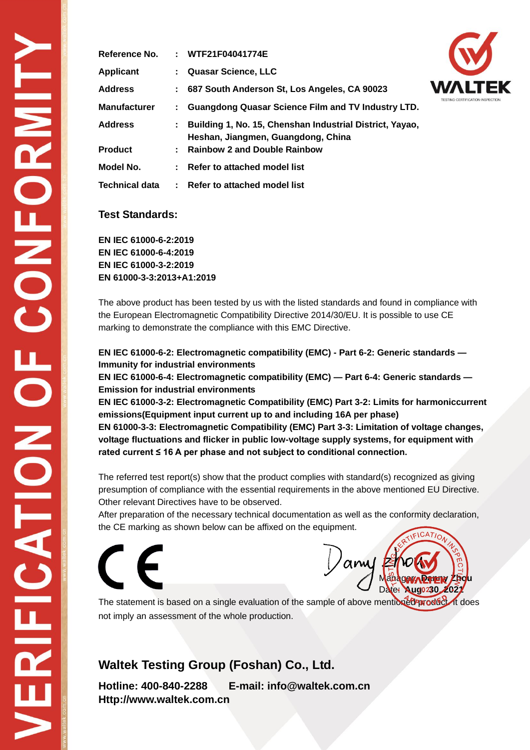| <b>Reference No.</b> | : WTF21F04041774E                                                                                |  |
|----------------------|--------------------------------------------------------------------------------------------------|--|
| <b>Applicant</b>     | : Quasar Science, LLC                                                                            |  |
| <b>Address</b>       | : 687 South Anderson St, Los Angeles, CA 90023                                                   |  |
| Manufacturer         | : Guangdong Quasar Science Film and TV Industry LTD.                                             |  |
| <b>Address</b>       | : Building 1, No. 15, Chenshan Industrial District, Yayao,<br>Heshan, Jiangmen, Guangdong, China |  |
| <b>Product</b>       | : Rainbow 2 and Double Rainbow                                                                   |  |
| Model No.            | : Refer to attached model list                                                                   |  |
| Technical data       | : Refer to attached model list                                                                   |  |

### **Test Standards:**

**EN IEC 61000-6-2:2019 EN IEC 61000-6-4:2019 EN IEC 61000-3-2:2019 EN 61000-3-3:2013+A1:2019**

The above product has been tested by us with the listed standards and found in compliance with the European Electromagnetic Compatibility Directive 2014/30/EU. It is possible to use CE marking to demonstrate the compliance with this EMC Directive.

**EN IEC 61000-6-2: Electromagnetic compatibility (EMC) - Part 6-2: Generic standards — Immunity for industrial environments**

**EN IEC 61000-6-4: Electromagnetic compatibility (EMC) — Part 6-4: Generic standards — Emission for industrial environments**

**EN IEC 61000-3-2: Electromagnetic Compatibility (EMC) Part 3-2: Limits for harmoniccurrent emissions(Equipment input current up to and including 16A per phase) EN 61000-3-3: Electromagnetic Compatibility (EMC) Part 3-3: Limitation of voltage changes, voltage fluctuations and flicker in public low-voltage supply systems, for equipment with rated current ≤ 16 A per phase and not subject to conditional connection.**

The referred test report(s) show that the product complies with standard(s) recognized as giving presumption of compliance with the essential requirements in the above mentioned EU Directive. Other relevant Directives have to be observed.

After preparation of the necessary technical documentation as well as the conformity declaration, the CE marking as shown below can be affixed on the equipment.



 $am$ Manager**y Paris Zhou** Date: **Aug0230, 2021** 

The statement is based on a single evaluation of the sample of above mentioned product. It does not imply an assessment of the whole production.

### **Waltek Testing Group (Foshan) Co., Ltd.**

**Hotline: 400-840-2288 E-mail: info@waltek.com.cn Http://www.waltek.com.cn**